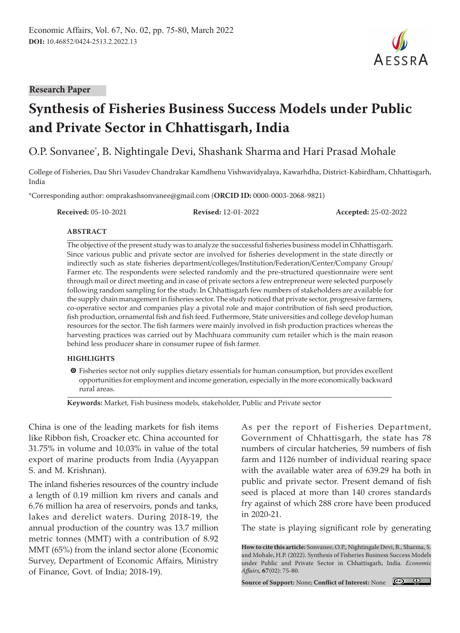#### **Research Paper**

# **Synthesis of Fisheries Business Success Models under Public and Private Sector in Chhattisgarh, India**

O.P. Sonvanee\* , B. Nightingale Devi, Shashank Sharma and Hari Prasad Mohale

College of Fisheries, Dau Shri Vasudev Chandrakar Kamdhenu Vishwavidyalaya, Kawarhdha, District-Kabirdham, Chhattisgarh, India

\*Corresponding author: omprakashsonvanee@gmail.com (**ORCID ID:** 0000-0003-2068-9821)

**Received:** 05-10-2021 **Revised:** 12-01-2022 **Accepted:** 25-02-2022

#### **ABSTRACT**

The objective of the present study was to analyze the successful fisheries business model in Chhattisgarh. Since various public and private sector are involved for fisheries development in the state directly or indirectly such as state fisheries department/colleges/Institution/Federation/Center/Company Group/ Farmer etc. The respondents were selected randomly and the pre-structured questionnaire were sent through mail or direct meeting and in case of private sectors a few entrepreneur were selected purposely following random sampling for the study. In Chhattisgarh few numbers of stakeholders are available for the supply chain management in fisheries sector. The study noticed that private sector, progressive farmers, co-operative sector and companies play a pivotal role and major contribution of fish seed production, fish production, ornamental fish and fish feed. Futhermore, State universities and college develop human resources for the sector. The fish farmers were mainly involved in fish production practices whereas the harvesting practices was carried out by Machhuara community cum retailer which is the main reason behind less producer share in consumer rupee of fish farmer.

#### **HIGHLIGHTS**

 $\bullet$  Fisheries sector not only supplies dietary essentials for human consumption, but provides excellent opportunities for employment and income generation, especially in the more economically backward rural areas.

**Keywords:** Market, Fish business models, stakeholder, Public and Private sector

China is one of the leading markets for fish items like Ribbon fish, Croacker etc. China accounted for 31.75% in volume and 10.03% in value of the total export of marine products from India (Ayyappan S. and M. Krishnan).

The inland fisheries resources of the country include a length of 0.19 million km rivers and canals and 6.76 million ha area of reservoirs, ponds and tanks, lakes and derelict waters. During 2018-19, the annual production of the country was 13.7 million metric tonnes (MMT) with a contribution of 8.92 MMT (65%) from the inland sector alone (Economic Survey, Department of Economic Affairs, Ministry of Finance, Govt. of India; 2018-19).

As per the report of Fisheries Department, Government of Chhattisgarh, the state has 78 numbers of circular hatcheries, 59 numbers of fish farm and 1126 number of individual rearing space with the available water area of 639.29 ha both in public and private sector. Present demand of fish seed is placed at more than 140 crores standards fry against of which 288 crore have been produced in 2020-21.

The state is playing significant role by generating

**How to cite this article:** Sonvanee, O.P., Nightingale Devi, B., Sharma, S. and Mohale, H.P. (2022). Synthesis of Fisheries Business Success Models under Public and Private Sector in Chhattisgarh, India. *Economic Affairs,* **67**(02): 75-80.

**Source of Support:** None; **Conflict of Interest:** None

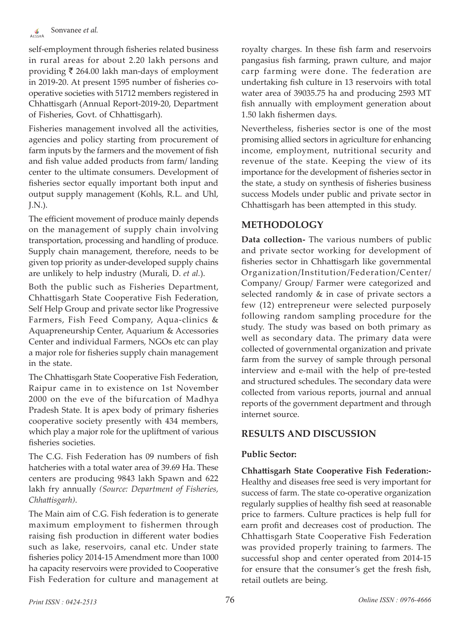self-employment through fisheries related business in rural areas for about 2.20 lakh persons and providing  $\bar{\tau}$  264.00 lakh man-days of employment in 2019-20. At present 1595 number of fisheries cooperative societies with 51712 members registered in Chhattisgarh (Annual Report-2019-20, Department of Fisheries, Govt. of Chhattisgarh).

Fisheries management involved all the activities, agencies and policy starting from procurement of farm inputs by the farmers and the movement of fish and fish value added products from farm/ landing center to the ultimate consumers. Development of fisheries sector equally important both input and output supply management (Kohls, R.L. and Uhl, J.N.).

The efficient movement of produce mainly depends on the management of supply chain involving transportation, processing and handling of produce. Supply chain management, therefore, needs to be given top priority as under-developed supply chains are unlikely to help industry (Murali, D. *et al.*).

Both the public such as Fisheries Department, Chhattisgarh State Cooperative Fish Federation, Self Help Group and private sector like Progressive Farmers, Fish Feed Company, Aqua-clinics & Aquapreneurship Center, Aquarium & Accessories Center and individual Farmers, NGOs etc can play a major role for fisheries supply chain management in the state.

The Chhattisgarh State Cooperative Fish Federation, Raipur came in to existence on 1st November 2000 on the eve of the bifurcation of Madhya Pradesh State. It is apex body of primary fisheries cooperative society presently with 434 members, which play a major role for the upliftment of various fisheries societies.

The C.G. Fish Federation has 09 numbers of fish hatcheries with a total water area of 39.69 Ha. These centers are producing 9843 lakh Spawn and 622 lakh fry annually *(Source: Department of Fisheries, Chhattisgarh)*.

The Main aim of C.G. Fish federation is to generate maximum employment to fishermen through raising fish production in different water bodies such as lake, reservoirs, canal etc. Under state fisheries policy 2014-15 Amendment more than 1000 ha capacity reservoirs were provided to Cooperative Fish Federation for culture and management at royalty charges. In these fish farm and reservoirs pangasius fish farming, prawn culture, and major carp farming were done. The federation are undertaking fish culture in 13 reservoirs with total water area of 39035.75 ha and producing 2593 MT fish annually with employment generation about 1.50 lakh fishermen days.

Nevertheless, fisheries sector is one of the most promising allied sectors in agriculture for enhancing income, employment, nutritional security and revenue of the state. Keeping the view of its importance for the development of fisheries sector in the state, a study on synthesis of fisheries business success Models under public and private sector in Chhattisgarh has been attempted in this study.

# **METHODOLOGY**

**Data collection-** The various numbers of public and private sector working for development of fisheries sector in Chhattisgarh like governmental Organization/Institution/Federation/Center/ Company/ Group/ Farmer were categorized and selected randomly & in case of private sectors a few (12) entrepreneur were selected purposely following random sampling procedure for the study. The study was based on both primary as well as secondary data. The primary data were collected of governmental organization and private farm from the survey of sample through personal interview and e-mail with the help of pre-tested and structured schedules. The secondary data were collected from various reports, journal and annual reports of the government department and through internet source.

# **RESULTS AND DISCUSSION**

## **Public Sector:**

**Chhattisgarh State Cooperative Fish Federation:-** Healthy and diseases free seed is very important for success of farm. The state co-operative organization regularly supplies of healthy fish seed at reasonable price to farmers. Culture practices is help full for earn profit and decreases cost of production. The Chhattisgarh State Cooperative Fish Federation was provided properly training to farmers. The successful shop and center operated from 2014-15 for ensure that the consumer's get the fresh fish, retail outlets are being.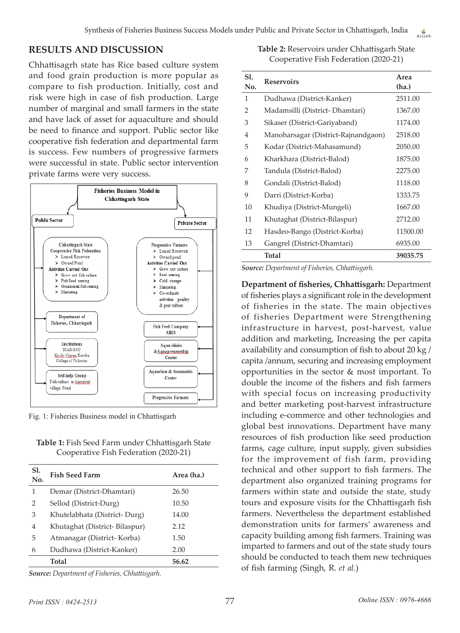# **RESULTS AND DISCUSSION**

Chhattisagrh state has Rice based culture system and food grain production is more popular as compare to fish production. Initially, cost and risk were high in case of fish production. Large number of marginal and small farmers in the state and have lack of asset for aquaculture and should be need to finance and support. Public sector like cooperative fish federation and departmental farm is success. Few numbers of progressive farmers were successful in state. Public sector intervention private farms were very success.



Fig. 1: Fisheries Business model in Chhattisgarh

| Table 1: Fish Seed Farm under Chhattisgarh State |
|--------------------------------------------------|
| Cooperative Fish Federation (2020-21)            |

| <b>S1.</b><br>No. | <b>Fish Seed Farm</b>         | Area (ha.) |
|-------------------|-------------------------------|------------|
| 1                 | Demar (District-Dhamtari)     | 26.50      |
| $\mathcal{P}$     | Sellod (District-Durg)        | 10.50      |
| 3                 | Khutelabhata (District-Durg)  | 14.00      |
| 4                 | Khutaghat (District-Bilaspur) | 2.12       |
| 5                 | Atmanagar (District- Korba)   | 1.50       |
| 6                 | Dudhawa (District-Kanker)     | 2.00       |
|                   | Total                         | 56.62      |
|                   |                               |            |

*Source: Department of Fisheries, Chhattisgarh.*

**Table 2:** Reservoirs under Chhattisgarh State Cooperative Fish Federation (2020-21)

| S1.<br>No.     | <b>Reservoirs</b>                   | Area<br>(ha.) |
|----------------|-------------------------------------|---------------|
| 1              | Dudhawa (District-Kanker)           | 2511.00       |
| $\overline{2}$ | Madamsilli (District-Dhamtari)      | 1367.00       |
| 3              | Sikaser (District-Gariyaband)       | 1174.00       |
| 4              | Manoharsagar (District-Rajnandgaon) | 2518.00       |
| 5              | Kodar (District-Mahasamund)         | 2050.00       |
| 6              | Kharkhara (District-Balod)          | 1875.00       |
| 7              | Tandula (District-Balod)            | 2275.00       |
| 8              | Gondali (District-Balod)            | 1118.00       |
| 9              | Darri (District-Korba)              | 1333.75       |
| 10             | Khudiya (District-Mungeli)          | 1667.00       |
| 11             | Khutaghat (District-Bilaspur)       | 2712.00       |
| 12             | Hasdeo-Bango (District-Korba)       | 11500.00      |
| 13             | Gangrel (District-Dhamtari)         | 6935.00       |
|                | Total                               | 39035.75      |

*Source: Department of Fisheries, Chhattisgarh.*

**Department of fisheries, Chhattisgarh:** Department of fisheries plays a significant role in the development of fisheries in the state. The main objectives of fisheries Department were Strengthening infrastructure in harvest, post-harvest, value addition and marketing, Increasing the per capita availability and consumption of fish to about 20 kg / capita /annum, securing and increasing employment opportunities in the sector & most important. To double the income of the fishers and fish farmers with special focus on increasing productivity and better marketing post-harvest infrastructure including e-commerce and other technologies and global best innovations. Department have many resources of fish production like seed production farms, cage culture, input supply, given subsidies for the improvement of fish farm, providing technical and other support to fish farmers. The department also organized training programs for farmers within state and outside the state, study tours and exposure visits for the Chhattisgarh fish farmers. Nevertheless the department established demonstration units for farmers' awareness and capacity building among fish farmers. Training was imparted to farmers and out of the state study tours should be conducted to teach them new techniques of fish farming (Singh, R. *et al.*)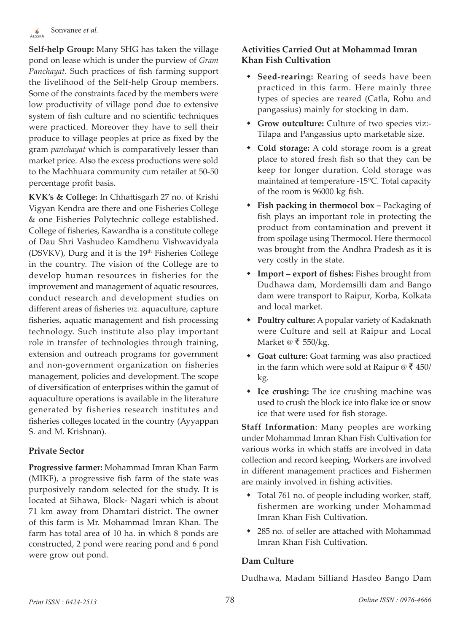**Self-help Group:** Many SHG has taken the village pond on lease which is under the purview of *Gram Panchayat*. Such practices of fish farming support the livelihood of the Self-help Group members. Some of the constraints faced by the members were low productivity of village pond due to extensive system of fish culture and no scientific techniques were practiced. Moreover they have to sell their produce to village peoples at price as fixed by the gram *panchayat* which is comparatively lesser than market price. Also the excess productions were sold to the Machhuara community cum retailer at 50-50 percentage profit basis.

**KVK's & College:** In Chhattisgarh 27 no. of Krishi Vigyan Kendra are there and one Fisheries College & one Fisheries Polytechnic college established. College of fisheries, Kawardha is a constitute college of Dau Shri Vashudeo Kamdhenu Vishwavidyala (DSVKV), Durg and it is the 19<sup>th</sup> Fisheries College in the country. The vision of the College are to develop human resources in fisheries for the improvement and management of aquatic resources, conduct research and development studies on different areas of fisheries *viz.* aquaculture, capture fisheries, aquatic management and fish processing technology. Such institute also play important role in transfer of technologies through training, extension and outreach programs for government and non-government organization on fisheries management, policies and development. The scope of diversification of enterprises within the gamut of aquaculture operations is available in the literature generated by fisheries research institutes and fisheries colleges located in the country (Ayyappan S. and M. Krishnan).

## **Private Sector**

**Progressive farmer:** Mohammad Imran Khan Farm (MIKF), a progressive fish farm of the state was purposively random selected for the study. It is located at Sihawa, Block- Nagari which is about 71 km away from Dhamtari district. The owner of this farm is Mr. Mohammad Imran Khan. The farm has total area of 10 ha. in which 8 ponds are constructed, 2 pond were rearing pond and 6 pond were grow out pond.

# **Activities Carried Out at Mohammad Imran Khan Fish Cultivation**

- **Seed-rearing:** Rearing of seeds have been practiced in this farm. Here mainly three types of species are reared (Catla, Rohu and pangassius) mainly for stocking in dam.
- **Grow outculture:** Culture of two species viz:- Tilapa and Pangassius upto marketable size.
- **Cold storage:** A cold storage room is a great place to stored fresh fish so that they can be keep for longer duration. Cold storage was maintained at temperature -15°C. Total capacity of the room is 96000 kg fish.
- **Fish packing in thermocol box –** Packaging of fish plays an important role in protecting the product from contamination and prevent it from spoilage using Thermocol. Here thermocol was brought from the Andhra Pradesh as it is very costly in the state.
- **Import export of fishes:** Fishes brought from Dudhawa dam, Mordemsilli dam and Bango dam were transport to Raipur, Korba, Kolkata and local market.
- **Poultry culture:** A popular variety of Kadaknath were Culture and sell at Raipur and Local Market @  $\bar{\tau}$  550/kg.
- **Goat culture:** Goat farming was also practiced in the farm which were sold at Raipur  $\mathcal{O} \bar{\mathcal{J}}$  450/ kg.
- **Ice crushing:** The ice crushing machine was used to crush the block ice into flake ice or snow ice that were used for fish storage.

**Staff Information**: Many peoples are working under Mohammad Imran Khan Fish Cultivation for various works in which staffs are involved in data collection and record keeping, Workers are involved in different management practices and Fishermen are mainly involved in fishing activities.

- Total 761 no. of people including worker, staff, fishermen are working under Mohammad Imran Khan Fish Cultivation.
- 285 no. of seller are attached with Mohammad Imran Khan Fish Cultivation.

## **Dam Culture**

Dudhawa, Madam Silliand Hasdeo Bango Dam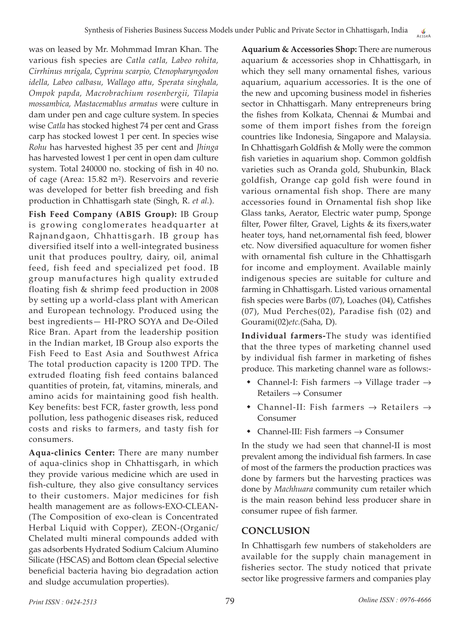was on leased by Mr. Mohmmad Imran Khan. The various fish species are *Catla catla, Labeo rohita, Cirrhinus mrigala, Cyprinu scarpio, Ctenopharyngodon idella, Labeo calbasu, Wallago attu, Sperata singhala, Ompok papda, Macrobrachium rosenbergii, Tilapia mossambica, Mastacemablus armatus* were culture in dam under pen and cage culture system*.* In species wise *Catla* has stocked highest 74 per cent and Grass carp has stocked lowest 1 per cent. In species wise *Rohu* has harvested highest 35 per cent and *Jhinga* has harvested lowest 1 per cent in open dam culture system. Total 240000 no. stocking of fish in 40 no. of cage (Area: 15.82 m²). Reservoirs and reverie was developed for better fish breeding and fish production in Chhattisgarh state (Singh, R. *et al.*).

**Fish Feed Company (ABIS Group):** IB Group is growing conglomerates headquarter at Rajnandgaon, Chhattisgarh. IB group has diversified itself into a well-integrated business unit that produces poultry, dairy, oil, animal feed, fish feed and specialized pet food. IB group manufactures high quality extruded floating fish & shrimp feed production in 2008 by setting up a world-class plant with American and European technology. Produced using the best ingredients— HI-PRO SOYA and De-Oiled Rice Bran. Apart from the leadership position in the Indian market, IB Group also exports the Fish Feed to East Asia and Southwest Africa The total production capacity is 1200 TPD. The extruded floating fish feed contains balanced quantities of protein, fat, vitamins, minerals, and amino acids for maintaining good fish health. Key benefits: best FCR, faster growth, less pond pollution, less pathogenic diseases risk, reduced costs and risks to farmers, and tasty fish for consumers.

**Aqua-clinics Center:** There are many number of aqua-clinics shop in Chhattisgarh, in which they provide various medicine which are used in fish-culture, they also give consultancy services to their customers. Major medicines for fish health management are as follows-EXO-CLEAN- (The Composition of exo-clean is Concentrated Herbal Liquid with Copper), ZEON-(Organic/ Chelated multi mineral compounds added with gas adsorbents Hydrated Sodium Calcium Alumino Silicate (HSCAS) and Bottom clean **(**Special selective beneficial bacteria having bio degradation action and sludge accumulation properties).

**Aquarium & Accessories Shop:** There are numerous aquarium & accessories shop in Chhattisgarh, in which they sell many ornamental fishes, various aquarium, aquarium accessories. It is the one of the new and upcoming business model in fisheries sector in Chhattisgarh. Many entrepreneurs bring the fishes from Kolkata, Chennai & Mumbai and some of them import fishes from the foreign countries like Indonesia, Singapore and Malaysia. In Chhattisgarh Goldfish & Molly were the common fish varieties in aquarium shop. Common goldfish varieties such as Oranda gold, Shubunkin, Black goldfish, Orange cap gold fish were found in various ornamental fish shop. There are many accessories found in Ornamental fish shop like Glass tanks, Aerator, Electric water pump, Sponge filter, Power filter, Gravel, Lights & its fixers,water heater toys, hand net,ornamental fish feed, blower etc. Now diversified aquaculture for women fisher with ornamental fish culture in the Chhattisgarh for income and employment. Available mainly indigenous species are suitable for culture and farming in Chhattisgarh. Listed various ornamental fish species were Barbs (07), Loaches (04), Catfishes (07), Mud Perches(02), Paradise fish (02) and Gourami(02)*etc.*(Saha, D).

**Individual farmers-**The study was identified that the three types of marketing channel used by individual fish farmer in marketing of fishes produce. This marketing channel ware as follows:-

- Channel-I: Fish farmers  $\rightarrow$  Village trader  $\rightarrow$ Retailers → Consumer
- Channel-II: Fish farmers → Retailers → Consumer
- Channel-III: Fish farmers → Consumer

In the study we had seen that channel-II is most prevalent among the individual fish farmers. In case of most of the farmers the production practices was done by farmers but the harvesting practices was done by *Machhuara* community cum retailer which is the main reason behind less producer share in consumer rupee of fish farmer.

# **CONCLUSION**

In Chhattisgarh few numbers of stakeholders are available for the supply chain management in fisheries sector. The study noticed that private sector like progressive farmers and companies play